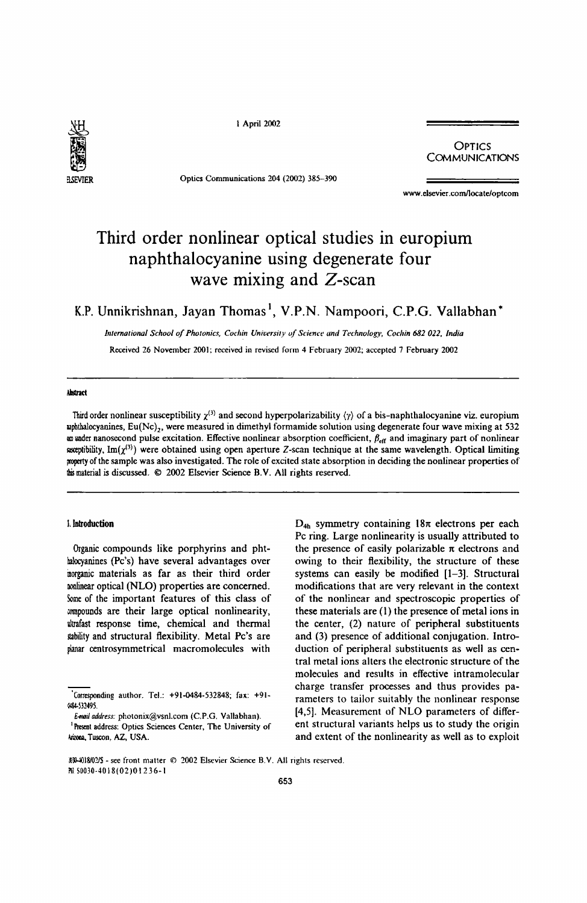

I April 2002

Optics Communications 204 (2002) 385-390

**OPTICS** COMMUNICATIONS

www.elsevier.comllocate/optcom

# Third order nonlinear optical studies in europium naphthalocyanine using degenerate four wave mixing and Z-scan

K.P. Unnikrishnan, Jayan Thomas<sup>1</sup>, V.P.N. Nampoori, C.P.G. Vallabhan<sup>\*</sup>

*International School of Photonics, Cochin University of Science and Technology, Cochin 682 022. India* 

Received 26 November 2001: received in revised form 4 February 2002; accepted 7 February 2002

#### Abstract

Third order nonlinear susceptibility  $\chi^{(3)}$  and second hyperpolarizability  $\langle \gamma \rangle$  of a bis-naphthalocyanine viz. europium uphthalocyanines, Eu(Nc),, were measured in dimethyl formamide solution using degenerate four wave mixing at 532 am under nanosecond pulse excitation. Effective nonlinear absorption coefficient,  $\beta_{\text{eff}}$  and imaginary part of nonlinear exeptibility. Im( $\chi^{(3)}$ ) were obtained using open aperture Z-scan technique at the same wavelength. Optical limiting property of the sample was also investigated. The role of excited state absorption in deciding the nonlinear properties of this material is discussed. © 2002 Elsevier Science B.V. All rights reserved.

#### I. bltroduction

Organic compounds like porphyrins and phthalocyanines (Pc's) have several advantages over inorganic materials as far as their third order nonlinear optical (NLO) properties are concerned. Some of the important features of this class of wmpounds are their large optical nonlinearity, ultrafast response time, chemical and thermal stability and structural flexibility. Metal Pc's are planar centrosymmetrical macromolecules with

<sup>1</sup> Present address: Optics Sciences Center, The University of Arzona, Tuscon, AZ, USA.

 $D_{4h}$  symmetry containing  $18\pi$  electrons per each Pc ring. Large nonlinearity is usually attributed to the presence of easily polarizable  $\pi$  electrons and owing to their flexibility, the structure of these systems can easily be modified [1-3]. Structural modifications that are very relevant in the context of the nonlinear and spectroscopic properties of these materials are (l) the presence of metal ions in the center, (2) nature of peripheral substituents and (3) presence of additional conjugation. Introduction of peripheral substituents as well as central metal ions alters the electronic structure of the molecules and results in effective intramolecular charge transfer processes and thus provides parameters to tailor suitably the nonlinear response [4,5]. Measurement of NLO parameters of different structural variants helps us to study the origin and extent of the nonlinearity as well as to exploit

<sup>&#</sup>x27;Corresponding author. Tel.: +91-0484-532848; fax: +91- (oI!4-532495.

E-mail address: photonix@vsnl.com (C.P.G. Vallabhan).

<sup>~</sup>JJ..lOI8/Q:!I\$ - see front matter © 2002 Elsevier Science 8.V. All rights reserved. Pli. S0030-4018(02)01236-1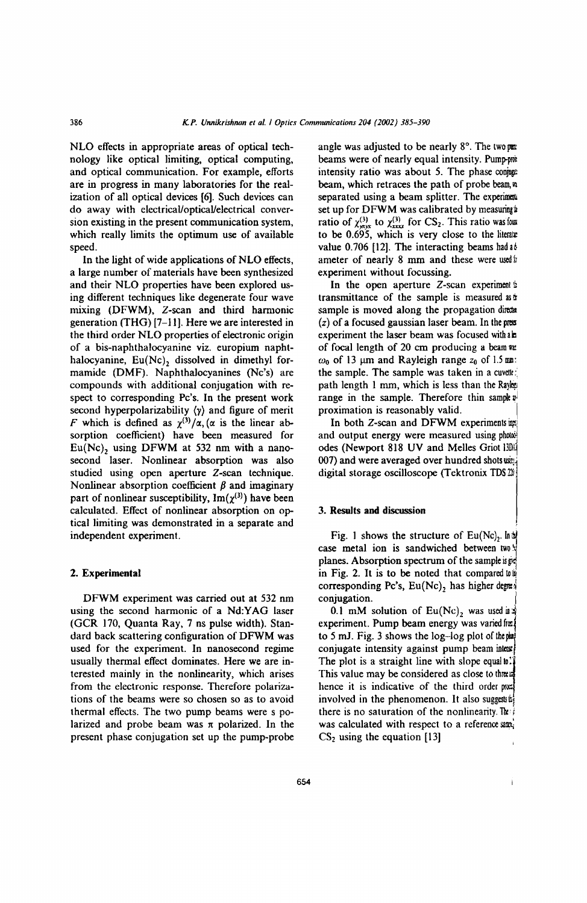NLO effects in appropriate areas of optical technology like optical limiting, optical computing, and optical communication. For example, efforts are in progress in many laboratories for the realization of all optical devices [6]. Such devices can do away with electrical/optical/electrical conversion existing in the present communication system, which really limits the optimum use of available speed.

In the light of wide applications of NLO effects, a large number of materials have been synthesized and their NLO properties have been explored using different techniques like degenerate four wave mixing (DFWM), Z-scan and third harmonic generation (THG) [7-11]. Here we are interested in the third order NLO properties of electronic origin of a bis-naphthalocyanine viz. europium naphthalocyanine,  $Eu(Nc)$ , dissolved in dimethyl formamide (DMF). Naphthalocyanines (Nc's) are compounds with additional conjugation with respect to corresponding Pc's. In the present work second hyperpolarizability *(y)* and figure of merit F which is defined as  $\chi^{(3)}/\alpha$ , ( $\alpha$  is the linear absorption coefficient) have been measured for  $Eu(Nc)$ , using DFWM at 532 nm with a nanosecond laser. Nonlinear absorption was also studied using open aperture Z-scan technique. Nonlinear absorption coefficient  $\beta$  and imaginary part of nonlinear susceptibility,  $Im(\chi^{(3)})$  have been calculated. Effect of nonlinear absorption on optical limiting was demonstrated in a separate and independent experiment.

# 2. Experimental

DFWM experiment was carried out at 532 nm using the second harmonic of a Nd:YAG laser (GCR 170, Quanta Ray, 7 ns pulse width). Standard back scattering configuration of DFWM was used for the experiment. In nanosecond regime usually thermal effect dominates. Here we are interested mainly in the nonlinearity, which arises from the electronic response. Therefore polarizations of the beams were so chosen so as to avoid thermal effects. The two pump beams were s polarized and probe beam was  $\pi$  polarized. In the present phase conjugation set up the pump-probe

angle was adjusted to be nearly  $8^\circ$ . The two pm beams were of nearly equal intensity. Pump-prot intensity ratio was about 5. The phase conjuga beam, which retraces the path of probe beam,  $n$ separated using a beam splitter. The experiments set up for DFWM was calibrated by measuring ratio of  $\chi^{(3)}_{\text{max}}$  to  $\chi^{(3)}_{\text{max}}$  for CS<sub>2</sub>. This ratio was four to be 0.695, which is very close to the literate value 0.706 [12]. The interacting beams had a ameter of nearly 8 mm and these were used  $\pi$ experiment without focussing.

In the open aperture  $Z$ -scan experiment  $\frac{1}{2}$ transmittance of the sample is measured as  $\pm$ sample is moved along the propagation director  $(z)$  of a focused gaussian laser beam. In the presexperiment the laser beam was focused with all of focal length of 20 cm producing a beam was  $\omega_0$  of 13 µm and Rayleigh range  $z_0$  of 1.5 mm: the sample. The sample was taken in a cuvelle: path length 1 mm, which is less than the Rayer range in the sample. Therefore thin sample  $v<sup>1</sup>$ proximation is reasonably valid. I

In both  $Z$ -scan and DFWM experiments  $\overline{u}$ and output energy were measured using photol. odes (Newport 818 UV and Melles Griot 13Da 007) and were averaged over hundred shots win. digital storage oscilloscope (Tektronix TDS $\mathfrak{B}$ )

## 3. Results and discussion

Fig. 1 shows the structure of Eu(Nc),  $\ln 2$ case metal ion is sandwiched between two  $\frac{1}{2}$ planes. Absorption spectrum of the sample  $s$   $\approx$ in Fig. 2. It is to be noted that compared  $\omega$ corresponding Pc's,  $Eu(Nc)_2$  has higher degreed conjugation.

0.1 mM solution of  $Eu(Nc)_2$  was used in  $\frac{1}{2}$ experiment. Pump beam energy was varied for to 5 mJ. Fig. 3 shows the  $log$ -log plot of the pat conjugate intensity against pump beam intensi The plot is a straight line with slope equal to: This value may be considered as close to threat hence it is indicative of the third order prox involved in the phenomenon. It also suggest  $\sharp$ there is no saturation of the nonlinearity. The was calculated with respect to a reference sami  $CS<sub>2</sub>$  using the equation [13]

Ì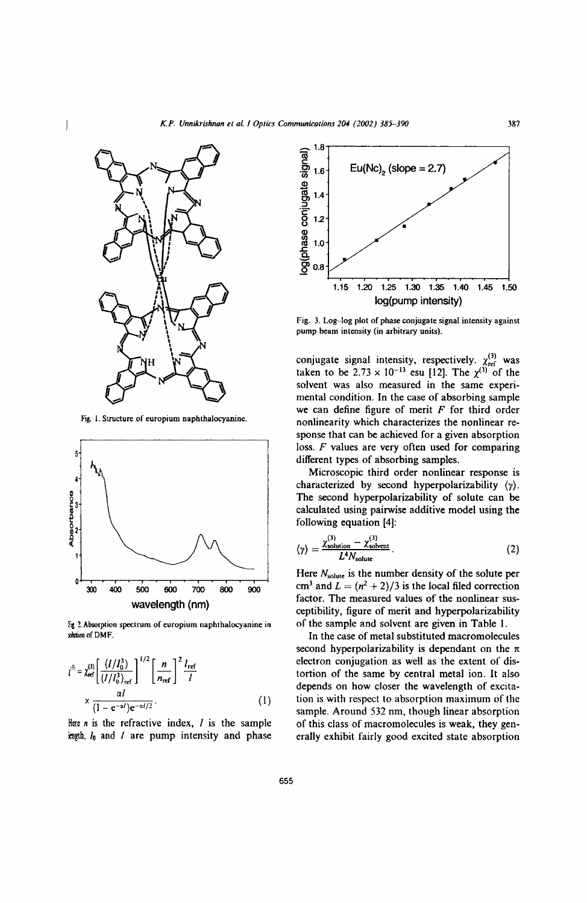

Fig. I. Structure of europium naphthalocyanine.



 $F_{\mathbf{g}}$  2 Absorption spectrum of europium naphthalocyanine in shtion of DMF.

$$
i^{(3)} = \chi_{\text{ref}}^{(3)} \left[ \frac{(I/I_0^3)}{(I/I_0^3)_{\text{ref}}}\right]^{1/2} \left[ \frac{n}{n_{\text{ref}}} \right]^2 \frac{l_{\text{ref}}}{l}
$$
  
 
$$
\times \frac{\alpha l}{(1 - e^{-\alpha l})e^{-\alpha l/2}}.
$$
 (1)

Here  $n$  is the refractive index,  $l$  is the sample icngth, *10* and *I* are pump intensity and phase



Fig. 3. Log-log plot of phase conjugate signal intensity against pump beam intensity (in arbitrary units).

conjugate signal intensity, respectively.  $\chi_{\text{ref}}^{(3)}$  was taken to be 2.73  $\times$  10<sup>-13</sup> esu [12]. The  $\chi^{(3)}$  of the solvent was also measured in the same experimental condition. In the case of absorbing sample we can define figure of merit  $F$  for third order nonlinearity which characterizes the nonlinear response that can be achieved for a given absorption loss. *F* values are very often used for comparing different types of absorbing samples.

Microscopic third order nonlinear response is characterized by second hyperpolarizability *(y).*  The second hyperpolarizability of solute can be calculated using pairwise additive model using the following equation [4]:

$$
\langle \gamma \rangle = \frac{\chi_{\text{solution}}^{(3)} - \chi_{\text{solvent}}^{(3)}}{L^4 N_{\text{solute}}}.
$$
 (2)

Here  $N_{\text{solute}}$  is the number density of the solute per cm<sup>3</sup> and  $L = (n^2 + 2)/3$  is the local filed correction factor. The measured values of the nonlinear susceptibility. figure of merit and hyperpolarizability of the sample and solvent are given in Table I.

In the case of metal substituted macromolecules second hyperpolarizability is dependant on the  $\pi$ electron conjugation as well as the extent of distortion of the same by central metal ion. It also depends on how closer the wavelength of excitation is with respect to absorption maximum of the sample. Around 532 nm, though linear absorption of this class of macromolecules is weak, they generally exhibit fairly good excited state absorption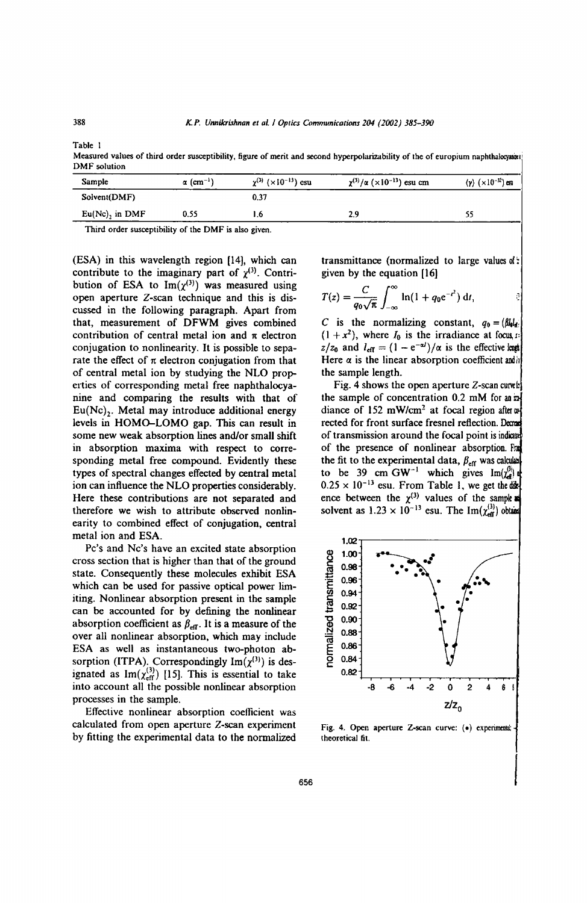Table I

Measured values of third order susceptibility, figure of merit and second hyperpolarizability of the of europium naphthalocyasar DMF solution

| $\langle \gamma \rangle$ $(\times 10^{-32})$ csu |
|--------------------------------------------------|
|                                                  |
| 55                                               |
|                                                  |

Third order susceptibility of the DMF is also given.

(ESA) in this wavelength region [14], which can contribute to the imaginary part of  $\chi^{(3)}$ . Contribution of ESA to  $\text{Im}(\chi^{(3)})$  was measured using open aperture Z-scan technique and this is discussed in the following paragraph. Apart from that, measurement of DFWM gives combined contribution of central metal ion and  $\pi$  electron conjugation to nonlinearity. It is possible to separate the effect of  $\pi$  electron conjugation from that of central metal ion by studying the NLO properties of corresponding metal free naphthalocyanine and comparing the results with that of  $Eu(Nc)$ . Metal may introduce additional energy levels in HOMO-LOMO gap. This can result in some new weak absorption lines and/or small shift in absorption maxima with respect to corresponding metal free compound. Evidently these types of spectral changes effected by central metal ion can influence the NLO properties considerably. Here these contributions are not separated and therefore we wish to attribute observed nonlinearity to combined effect of conjugation, central metal ion and ESA.

Pc's and Nc's have an excited state absorption cross section that is higher than that of the ground state. Consequently these molecules exhibit ESA which can be used for passive optical power limiting. Nonlinear absorption present in the sample can be accounted for by defining the nonlinear absorption coefficient as  $\beta_{\text{eff}}$ . It is a measure of the over all nonlinear absorption, which may include ESA as well as instantaneous two-photon absorption (ITPA). Correspondingly  $Im(\chi^{(3)})$  is designated as  $Im(x_{\text{eff}}^{(3)})$  [15]. This is essential to take into account all the possible nonlinear absorption processes in the sample.

Effective nonlinear absorption coefficient was calculated from open aperture Z-scan experiment by fitting the experimental data to the normalized transmittance (normalized to large values of: given by the equation [16]

$$
T(z) = \frac{C}{q_0\sqrt{\pi}}\int_{-\infty}^{\infty} \ln(1+q_0e^{-t^2}) dt,
$$

C is the normalizing constant,  $q_0 = (\beta l_0)I_{\text{eff}}$  $(1 + x^2)$ , where  $I_0$  is the irradiance at focus, 1:  $z/z_0$  and  $l_{\text{eff}} = (1 - e^{-\alpha l})/\alpha$  is the effective league Here  $\alpha$  is the linear absorption coefficient and  $h$ the sample length.

Fig. 4 shows the open aperture  $Z$ -scan curve the sample of concentration 0.2 mM for an ' diance of 152 mW/cm<sup>2</sup> at focal region after or rected for front surface fresnel reflection. Decra of transmission around the focal point is indicated of the presence of nonlinear absorption. Fra the fit to the experimental data,  $\beta_{\text{eff}}$  was calculated to be 39 cm GW<sup>-1</sup> which gives  $\text{Im}(\chi_d^{(l)})$  $0.25 \times 10^{-13}$  esu. From Table 1, we get the direction ence between the  $\chi^{(3)}$  values of the sample solvent as  $1.23 \times 10^{-13}$  esu. The Im $(\chi_{\text{eff}}^{(3)})$  obtains



Fig. 4. Open aperture Z-scan curve: (•) experiments theoretical fit.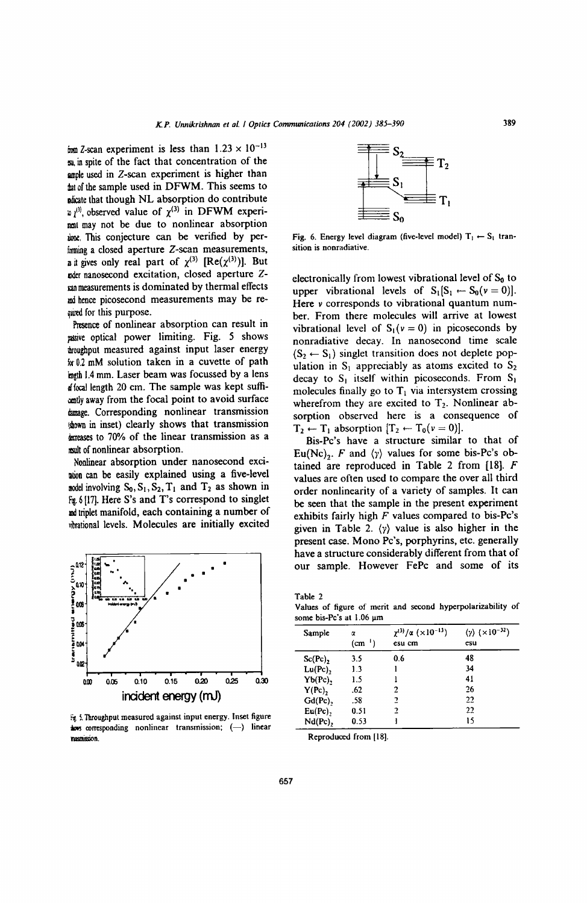irom Z-scan experiment is less than  $1.23 \times 10^{-13}$ <sup>~</sup>in spite of the fact that concentration of the ample used in  $Z$ -scan experiment is higher than that of the sample used in DFWM. This seems to plicate that though NL absorption do contribute  $v_1^{(3)}$ , observed value of  $\chi^{(3)}$  in DFWM experimal may not be due to nonlinear absorption ione. This conjecture can be verified by per $imning$  a closed aperture Z-scan measurements, a it gives only real part of  $\chi^{(3)}$  [Re( $\chi^{(3)}$ )]. But nder nanosecond excitation, closed aperture Z- $\mathbf{r}$ an measurements is dominated by thermal effects md hence picosecond measurements may be re and for this purpose.

Presence of nonlinear absorption can result in pasive optical power limiting. Fig. 5 shows troughput measured against input laser energy ),y 0.2 mM solution taken in a cuvette of path • 1.4 mm. Laser beam was focussed by a lens *rJ* focal length 20 cm. The sample was kept suffiantly away from the focal point to avoid surface dunage. Corresponding nonlinear transmission shown in inset) clearly shows that transmission deteases to 70% of the linear transmission as a result of nonlinear absorption.

Nonlinear absorption under nanosecond exci-IaIion can be easily explained using a five-level model involving  $S_0$ ,  $S_1$ ,  $S_2$ ,  $T_1$  and  $T_2$  as shown in Fig. 6 [17]. Here S's and T's correspond to singlet and triplet manifold, each containing a number of ~brational levels. Molecules are initially excited



 $\frac{1}{2}$ . Throughput measured against input energy. Inset figure tows corresponding nonlinear transmission; (-) linear rmsmission.



Fig. 6. Energy level diagram (five-level model)  $T_1 \leftarrow S_1$  transition is nonradiative.

electronically from lowest vibrational level of  $S_0$  to upper vibrational levels of  $S_1[S_1 \leftarrow S_0(v = 0)].$ Here *v* corresponds to vibrational quantum number. From there molecules will arrive at lowest vibrational level of  $S_1(v = 0)$  in picoseconds by nonradiative decay. In nanosecond time scale  $(S_2 \leftarrow S_1)$  singlet transition does not deplete population in  $S_1$  appreciably as atoms excited to  $S_2$ decay to  $S_1$  itself within picoseconds. From  $S_1$ molecules finally go to  $T_1$  via intersystem crossing wherefrom they are excited to  $T_2$ . Nonlinear absorption observed here is a consequence of  $T_2 \leftarrow T_1$  absorption  $[T_2 \leftarrow T_0(v = 0)].$ 

Bis-Pc's have a structure similar to that of Eu(Nc)<sub>2</sub>. F and  $\langle \gamma \rangle$  values for some bis-Pc's obtained are reproduced in Table 2 from [18]. F values are often used to compare the over all third order nonlinearity of a variety of samples. It can be seen that the sample in the present experiment exhibits fairly high  $F$  values compared to bis-Pc's given in Table 2. *(y)* value is also higher in the present case. Mono Pc's, porphyrins, etc. generally have a structure considerably different from that of our sample. However FePc and some of its

Table 2 Values of figure of merit and second hyperpolarizability of some bis-Pc's at 1.06  $\mu$ m

| Sample  | α<br>$(cm-1)$ | $\chi^{(3)}/\alpha$ ( $\times 10^{-13}$ )<br>esu cm | $(y)$ ( $\times$ 10 <sup>-32</sup> )<br>esu |
|---------|---------------|-----------------------------------------------------|---------------------------------------------|
| Sc(Pc), | 3.5           | 0.6                                                 | 48                                          |
| Lu(Pc), | 1.3           |                                                     | 34                                          |
| Yb(Pc), | 1.5           |                                                     | 41                                          |
| Y(Pc),  | .62           | 2                                                   | 26                                          |
| Gd(Pc), | .58           | 2                                                   | 22                                          |
| Eu(Pc), | 0.51          | 2                                                   | 22                                          |
| Nd(Pc), | 0.53          |                                                     | 15                                          |

Reproduced from (18).

657